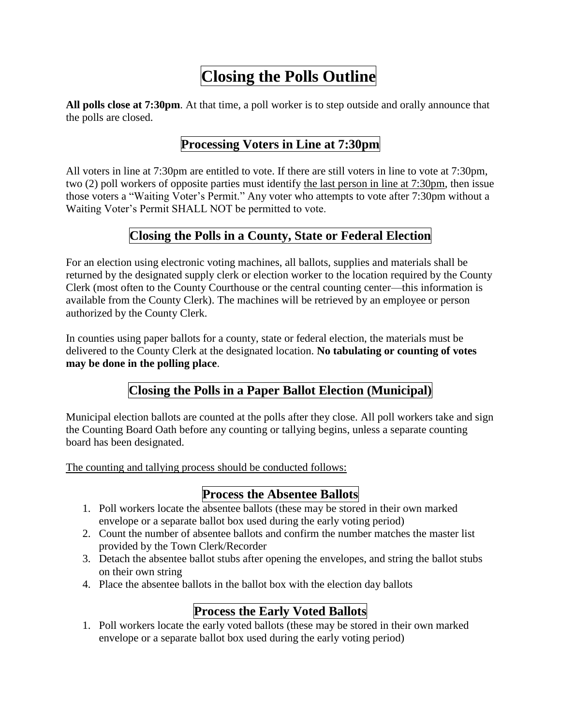# **Closing the Polls Outline**

**All polls close at 7:30pm**. At that time, a poll worker is to step outside and orally announce that the polls are closed.

## **Processing Voters in Line at 7:30pm**

All voters in line at 7:30pm are entitled to vote. If there are still voters in line to vote at 7:30pm, two (2) poll workers of opposite parties must identify the last person in line at 7:30pm, then issue those voters a "Waiting Voter's Permit." Any voter who attempts to vote after 7:30pm without a Waiting Voter's Permit SHALL NOT be permitted to vote.

#### **Closing the Polls in a County, State or Federal Election**

For an election using electronic voting machines, all ballots, supplies and materials shall be returned by the designated supply clerk or election worker to the location required by the County Clerk (most often to the County Courthouse or the central counting center—this information is available from the County Clerk). The machines will be retrieved by an employee or person authorized by the County Clerk.

In counties using paper ballots for a county, state or federal election, the materials must be delivered to the County Clerk at the designated location. **No tabulating or counting of votes may be done in the polling place**.

#### **Closing the Polls in a Paper Ballot Election (Municipal)**

Municipal election ballots are counted at the polls after they close. All poll workers take and sign the Counting Board Oath before any counting or tallying begins, unless a separate counting board has been designated.

The counting and tallying process should be conducted follows:

## **Process the Absentee Ballots**

- 1. Poll workers locate the absentee ballots (these may be stored in their own marked envelope or a separate ballot box used during the early voting period)
- 2. Count the number of absentee ballots and confirm the number matches the master list provided by the Town Clerk/Recorder
- 3. Detach the absentee ballot stubs after opening the envelopes, and string the ballot stubs on their own string
- 4. Place the absentee ballots in the ballot box with the election day ballots

# **Process the Early Voted Ballots**

1. Poll workers locate the early voted ballots (these may be stored in their own marked envelope or a separate ballot box used during the early voting period)